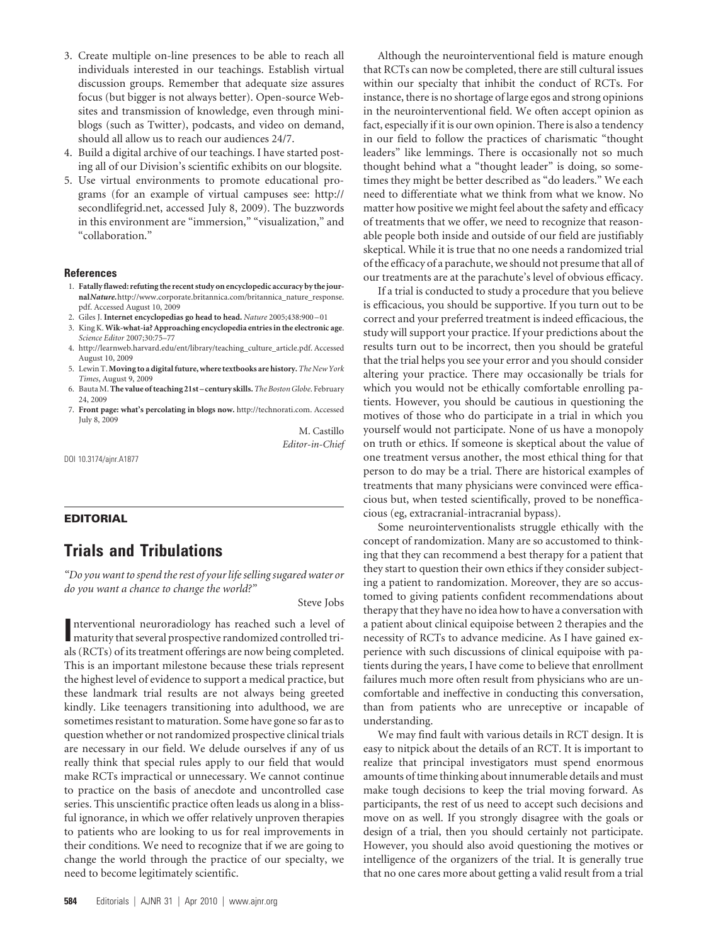- 3. Create multiple on-line presences to be able to reach all individuals interested in our teachings. Establish virtual discussion groups. Remember that adequate size assures focus (but bigger is not always better). Open-source Websites and transmission of knowledge, even through miniblogs (such as Twitter), podcasts, and video on demand, should all allow us to reach our audiences 24/7.
- 4. Build a digital archive of our teachings. I have started posting all of our Division's scientific exhibits on our blogsite.
- 5. Use virtual environments to promote educational programs (for an example of virtual campuses see: http:// secondlifegrid.net, accessed July 8, 2009). The buzzwords in this environment are "immersion," "visualization," and "collaboration."

## **References**

- 1. **Fatally flawed: refuting the recent study on encyclopedic accuracy by the journal***Nature.*http://www.corporate.britannica.com/britannica\_nature\_response. pdf. Accessed August 10, 2009
- 2. Giles J. **Internet encyclopedias go head to head.** *Nature* 2005;438:900 –01
- 3. King K. **Wik-what-ia? Approaching encyclopedia entries in the electronic age**.
- *Science Editor* 2007;30:75–77 4. http://learnweb.harvard.edu/ent/library/teaching\_culture\_article.pdf. Accessed August 10, 2009
- 5. Lewin T. **Moving to a digital future, where textbooks are history.***The New York Times*, August 9, 2009
- 6. BautaM.**The value of teaching 21st century skills.***The Boston Globe*. February 24, 2009
- 7. **Front page: what's percolating in blogs now.** http://technorati.com. Accessed July 8, 2009

M. Castillo *Editor-in-Chief*

DOI 10.3174/ajnr.A1877

## **EDITORIAL**

## **Trials and Tribulations**

*"Do you want to spend the rest of your life selling sugared water or do you want a chance to change the world?"*

Steve Jobs

**I** nterventional neuroradiology has reached such a level of maturity that several prospective randomized controlled trinterventional neuroradiology has reached such a level of als (RCTs) of its treatment offerings are now being completed. This is an important milestone because these trials represent the highest level of evidence to support a medical practice, but these landmark trial results are not always being greeted kindly. Like teenagers transitioning into adulthood, we are sometimes resistant to maturation. Some have gone so far as to question whether or not randomized prospective clinical trials are necessary in our field. We delude ourselves if any of us really think that special rules apply to our field that would make RCTs impractical or unnecessary. We cannot continue to practice on the basis of anecdote and uncontrolled case series. This unscientific practice often leads us along in a blissful ignorance, in which we offer relatively unproven therapies to patients who are looking to us for real improvements in their conditions. We need to recognize that if we are going to change the world through the practice of our specialty, we need to become legitimately scientific.

Although the neurointerventional field is mature enough that RCTs can now be completed, there are still cultural issues within our specialty that inhibit the conduct of RCTs. For instance, there is no shortage of large egos and strong opinions in the neurointerventional field. We often accept opinion as fact, especially if it is our own opinion. There is also a tendency in our field to follow the practices of charismatic "thought leaders" like lemmings. There is occasionally not so much thought behind what a "thought leader" is doing, so sometimes they might be better described as "do leaders." We each need to differentiate what we think from what we know. No matter how positive we might feel about the safety and efficacy of treatments that we offer, we need to recognize that reasonable people both inside and outside of our field are justifiably skeptical. While it is true that no one needs a randomized trial of the efficacy of a parachute, we should not presume that all of our treatments are at the parachute's level of obvious efficacy.

If a trial is conducted to study a procedure that you believe is efficacious, you should be supportive. If you turn out to be correct and your preferred treatment is indeed efficacious, the study will support your practice. If your predictions about the results turn out to be incorrect, then you should be grateful that the trial helps you see your error and you should consider altering your practice. There may occasionally be trials for which you would not be ethically comfortable enrolling patients. However, you should be cautious in questioning the motives of those who do participate in a trial in which you yourself would not participate. None of us have a monopoly on truth or ethics. If someone is skeptical about the value of one treatment versus another, the most ethical thing for that person to do may be a trial. There are historical examples of treatments that many physicians were convinced were efficacious but, when tested scientifically, proved to be nonefficacious (eg, extracranial-intracranial bypass).

Some neurointerventionalists struggle ethically with the concept of randomization. Many are so accustomed to thinking that they can recommend a best therapy for a patient that they start to question their own ethics if they consider subjecting a patient to randomization. Moreover, they are so accustomed to giving patients confident recommendations about therapy that they have no idea how to have a conversation with a patient about clinical equipoise between 2 therapies and the necessity of RCTs to advance medicine. As I have gained experience with such discussions of clinical equipoise with patients during the years, I have come to believe that enrollment failures much more often result from physicians who are uncomfortable and ineffective in conducting this conversation, than from patients who are unreceptive or incapable of understanding.

We may find fault with various details in RCT design. It is easy to nitpick about the details of an RCT. It is important to realize that principal investigators must spend enormous amounts of time thinking about innumerable details and must make tough decisions to keep the trial moving forward. As participants, the rest of us need to accept such decisions and move on as well. If you strongly disagree with the goals or design of a trial, then you should certainly not participate. However, you should also avoid questioning the motives or intelligence of the organizers of the trial. It is generally true that no one cares more about getting a valid result from a trial